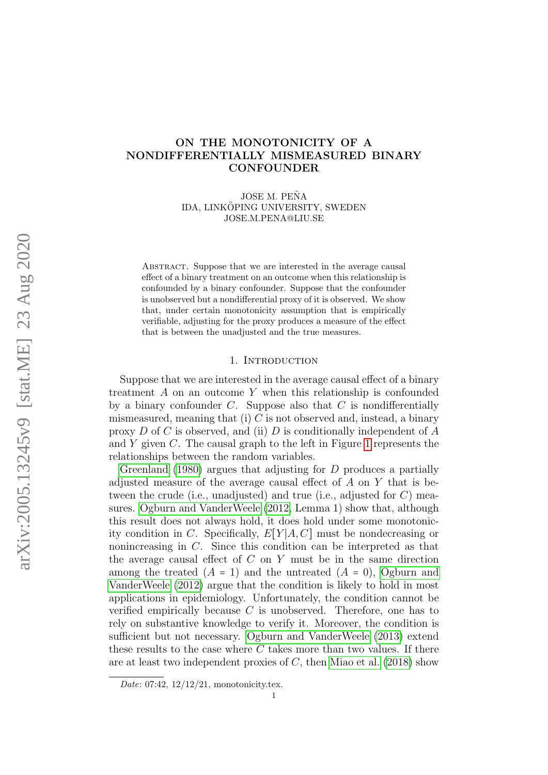# ON THE MONOTONICITY OF A NONDIFFERENTIALLY MISMEASURED BINARY CONFOUNDER

JOSE M. PEÑA IDA, LINKÖPING UNIVERSITY, SWEDEN JOSE.M.PENA@LIU.SE

ABSTRACT. Suppose that we are interested in the average causal effect of a binary treatment on an outcome when this relationship is confounded by a binary confounder. Suppose that the confounder is unobserved but a nondifferential proxy of it is observed. We show that, under certain monotonicity assumption that is empirically verifiable, adjusting for the proxy produces a measure of the effect that is between the unadjusted and the true measures.

# 1. INTRODUCTION

Suppose that we are interested in the average causal effect of a binary treatment A on an outcome Y when this relationship is confounded by a binary confounder  $C$ . Suppose also that  $C$  is nondifferentially mismeasured, meaning that (i)  $C$  is not observed and, instead, a binary proxy D of C is observed, and (ii) D is conditionally independent of A and  $Y$  given  $C$ . The causal graph to the left in Figure [1](#page-1-0) represents the relationships between the random variables.

[Greenland](#page-17-0) [\(1980\)](#page-17-0) argues that adjusting for D produces a partially adjusted measure of the average causal effect of A on Y that is between the crude (i.e., unadjusted) and true (i.e., adjusted for  $C$ ) measures. [Ogburn and VanderWeele](#page-18-0) [\(2012,](#page-18-0) Lemma 1) show that, although this result does not always hold, it does hold under some monotonicity condition in C. Specifically,  $E[Y|A, C]$  must be nondecreasing or nonincreasing in C. Since this condition can be interpreted as that the average causal effect of  $C$  on  $Y$  must be in the same direction among the treated  $(A = 1)$  and the untreated  $(A = 0)$ , [Ogburn and](#page-18-0) [VanderWeele](#page-18-0) [\(2012\)](#page-18-0) argue that the condition is likely to hold in most applications in epidemiology. Unfortunately, the condition cannot be verified empirically because  $C$  is unobserved. Therefore, one has to rely on substantive knowledge to verify it. Moreover, the condition is sufficient but not necessary. [Ogburn and VanderWeele](#page-18-1) [\(2013\)](#page-18-1) extend these results to the case where  $C$  takes more than two values. If there are at least two independent proxies of  $C$ , then [Miao et al.](#page-17-1) [\(2018\)](#page-17-1) show

Date:  $07:42$ ,  $12/12/21$ , monotonicity.tex.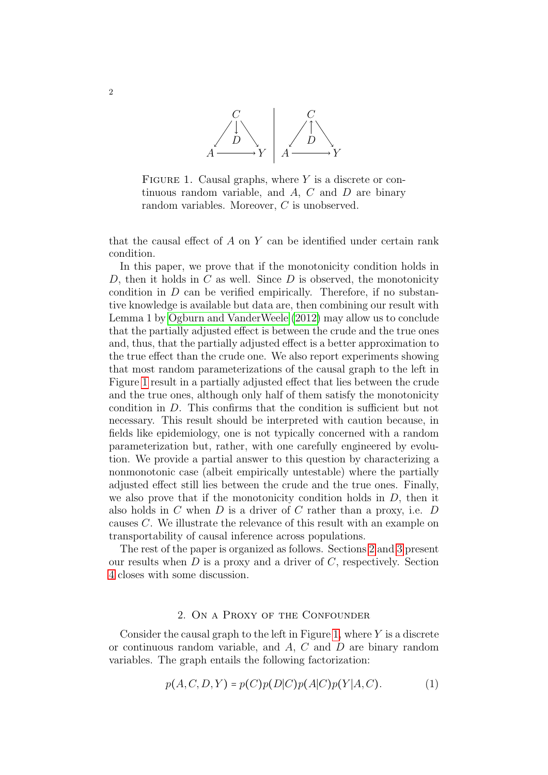

<span id="page-1-0"></span>FIGURE 1. Causal graphs, where  $Y$  is a discrete or continuous random variable, and  $A$ ,  $C$  and  $D$  are binary random variables. Moreover, C is unobserved.

that the causal effect of A on Y can be identified under certain rank condition.

In this paper, we prove that if the monotonicity condition holds in D, then it holds in C as well. Since  $D$  is observed, the monotonicity condition in  $D$  can be verified empirically. Therefore, if no substantive knowledge is available but data are, then combining our result with Lemma 1 by [Ogburn and VanderWeele](#page-18-0) [\(2012\)](#page-18-0) may allow us to conclude that the partially adjusted effect is between the crude and the true ones and, thus, that the partially adjusted effect is a better approximation to the true effect than the crude one. We also report experiments showing that most random parameterizations of the causal graph to the left in Figure [1](#page-1-0) result in a partially adjusted effect that lies between the crude and the true ones, although only half of them satisfy the monotonicity condition in D. This confirms that the condition is sufficient but not necessary. This result should be interpreted with caution because, in fields like epidemiology, one is not typically concerned with a random parameterization but, rather, with one carefully engineered by evolution. We provide a partial answer to this question by characterizing a nonmonotonic case (albeit empirically untestable) where the partially adjusted effect still lies between the crude and the true ones. Finally, we also prove that if the monotonicity condition holds in  $D$ , then it also holds in  $C$  when  $D$  is a driver of  $C$  rather than a proxy, i.e.  $D$ causes C. We illustrate the relevance of this result with an example on transportability of causal inference across populations.

The rest of the paper is organized as follows. Sections [2](#page-1-1) and [3](#page-12-0) present our results when  $D$  is a proxy and a driver of  $C$ , respectively. Section [4](#page-17-2) closes with some discussion.

#### 2. On a Proxy of the Confounder

<span id="page-1-1"></span>Consider the causal graph to the left in Figure [1,](#page-1-0) where  $Y$  is a discrete or continuous random variable, and  $A, C$  and  $D$  are binary random variables. The graph entails the following factorization:

<span id="page-1-2"></span>
$$
p(A, C, D, Y) = p(C)p(D|C)p(A|C)p(Y|A, C).
$$
 (1)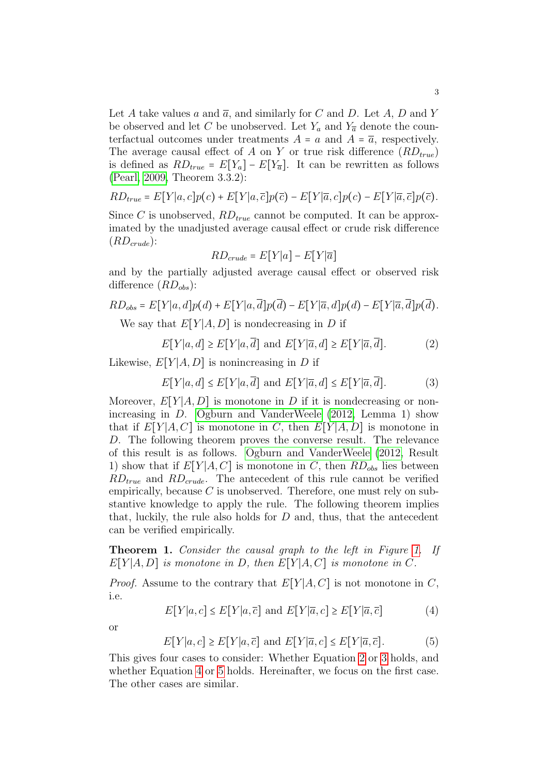Let A take values a and  $\overline{a}$ , and similarly for C and D. Let A, D and Y be observed and let C be unobserved. Let  $Y_a$  and  $Y_{\overline{a}}$  denote the counterfactual outcomes under treatments  $A = a$  and  $A = \overline{a}$ , respectively. The average causal effect of A on Y or true risk difference  $(RD_{true})$ is defined as  $RD_{true} = E[Y_a] - E[Y_{\overline{a}}]$ . It can be rewritten as follows [\(Pearl, 2009,](#page-18-2) Theorem 3.3.2):

$$
RD_{true} = E[Y|a,c]p(c) + E[Y|a,\overline{c}]p(\overline{c}) - E[Y|\overline{a},c]p(c) - E[Y|\overline{a},\overline{c}]p(\overline{c}).
$$

Since C is unobserved,  $RD_{true}$  cannot be computed. It can be approximated by the unadjusted average causal effect or crude risk difference  $(RD_{crude})$ :

$$
RD_{crude} = E[Y|a] - E[Y|\overline{a}]
$$

and by the partially adjusted average causal effect or observed risk difference  $(RD<sub>obs</sub>)$ :

$$
RD_{obs} = E[Y|a,d]p(d) + E[Y|a,\overline{d}]p(\overline{d}) - E[Y|\overline{a},d]p(d) - E[Y|\overline{a},\overline{d}]p(\overline{d}).
$$
  
We see that  $E[Y|A, D]$  is nondecreasing in D if.

We say that  $E[Y|A, D]$  is nondecreasing in D if

<span id="page-2-0"></span>
$$
E[Y|a,d] \ge E[Y|a,\overline{d}] \text{ and } E[Y|\overline{a},d] \ge E[Y|\overline{a},\overline{d}].
$$
 (2)

Likewise,  $E[Y|A, D]$  is nonincreasing in D if

<span id="page-2-1"></span> $E[Y|a, d] \le E[Y|a, \overline{d}]$  and  $E[Y|\overline{a}, d] \le E[Y|\overline{a}, \overline{d}]$ . (3)

Moreover,  $E[Y|A, D]$  is monotone in D if it is nondecreasing or nonincreasing in D. [Ogburn and VanderWeele](#page-18-0) [\(2012,](#page-18-0) Lemma 1) show that if  $E[Y|A, C]$  is monotone in C, then  $E[Y|A, D]$  is monotone in D. The following theorem proves the converse result. The relevance of this result is as follows. [Ogburn and VanderWeele](#page-18-0) [\(2012,](#page-18-0) Result 1) show that if  $E[Y|A, C]$  is monotone in C, then  $RD_{obs}$  lies between  $RD_{true}$  and  $RD_{crude}$ . The antecedent of this rule cannot be verified empirically, because  $C$  is unobserved. Therefore, one must rely on substantive knowledge to apply the rule. The following theorem implies that, luckily, the rule also holds for  $D$  and, thus, that the antecedent can be verified empirically.

<span id="page-2-4"></span>Theorem 1. Consider the causal graph to the left in Figure [1.](#page-1-0) If  $E[Y|A, D]$  is monotone in D, then  $E[Y|A, C]$  is monotone in C.

*Proof.* Assume to the contrary that  $E[Y|A, C]$  is not monotone in C, i.e.

<span id="page-2-2"></span>
$$
E[Y|a,c] \le E[Y|a,\overline{c}] \text{ and } E[Y|\overline{a},c] \ge E[Y|\overline{a},\overline{c}]
$$
 (4)

or

<span id="page-2-3"></span>
$$
E[Y|a,c] \ge E[Y|a,\overline{c}] \text{ and } E[Y|\overline{a},c] \le E[Y|\overline{a},\overline{c}].
$$
 (5)

This gives four cases to consider: Whether Equation [2](#page-2-0) or [3](#page-2-1) holds, and whether Equation [4](#page-2-2) or [5](#page-2-3) holds. Hereinafter, we focus on the first case. The other cases are similar.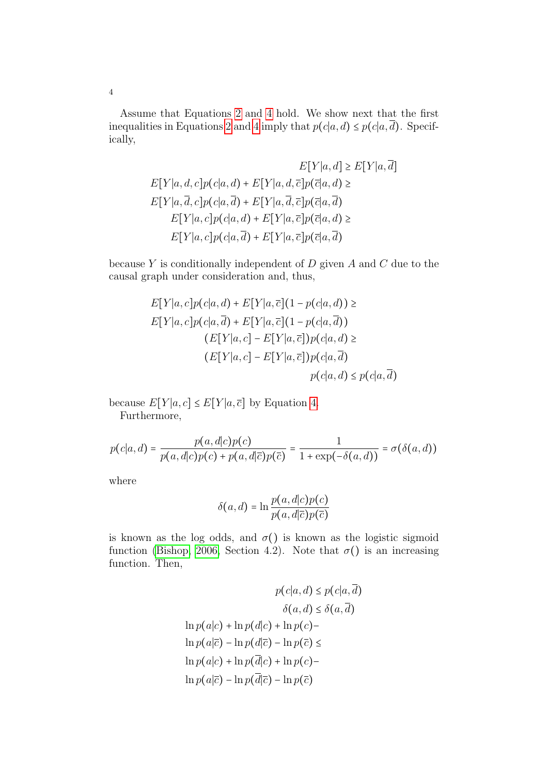Assume that Equations [2](#page-2-0) and [4](#page-2-2) hold. We show next that the first inequalities in Equations [2](#page-2-0) and [4](#page-2-2) imply that  $p(c|a, d) \leq p(c|a, \overline{d})$ . Specifically,

$$
E[Y|a,d] \ge E[Y|a,\overline{d}]
$$
  
\n
$$
E[Y|a,d,c]p(c|a,d) + E[Y|a,d,\overline{c}]p(\overline{c}|a,d) \ge
$$
  
\n
$$
E[Y|a,\overline{d},c]p(c|a,\overline{d}) + E[Y|a,\overline{d},\overline{c}]p(\overline{c}|a,\overline{d})
$$
  
\n
$$
E[Y|a,c]p(c|a,d) + E[Y|a,\overline{c}]p(\overline{c}|a,d) \ge
$$
  
\n
$$
E[Y|a,c]p(c|a,\overline{d}) + E[Y|a,\overline{c}]p(\overline{c}|a,\overline{d})
$$

because  $Y$  is conditionally independent of  $D$  given  $A$  and  $C$  due to the causal graph under consideration and, thus,

$$
E[Y|a, c]p(c|a, d) + E[Y|a, \overline{c}](1 - p(c|a, d)) \ge
$$
  
\n
$$
E[Y|a, c]p(c|a, \overline{d}) + E[Y|a, \overline{c}](1 - p(c|a, \overline{d}))
$$
  
\n
$$
(E[Y|a, c] - E[Y|a, \overline{c}])p(c|a, d) \ge
$$
  
\n
$$
(E[Y|a, c] - E[Y|a, \overline{c}])p(c|a, \overline{d})
$$
  
\n
$$
p(c|a, d) \le p(c|a, \overline{d})
$$

because  $E[Y|a, c] \leq E[Y|a, \overline{c}]$  by Equation [4.](#page-2-2) Furthermore,

$$
p(c|a,d) = \frac{p(a,d|c)p(c)}{p(a,d|c)p(c) + p(a,d|\overline{c})p(\overline{c})} = \frac{1}{1 + \exp(-\delta(a,d))} = \sigma(\delta(a,d))
$$

where

$$
\delta(a,d) = \ln \frac{p(a,d|c)p(c)}{p(a,d|\overline{c})p(\overline{c})}
$$

is known as the log odds, and  $\sigma()$  is known as the logistic sigmoid function [\(Bishop, 2006,](#page-17-3) Section 4.2). Note that  $\sigma()$  is an increasing function. Then,

$$
p(c|a, d) \le p(c|a, d)
$$

$$
\delta(a, d) \le \delta(a, \overline{d})
$$

$$
\ln p(a|c) + \ln p(d|c) + \ln p(c) -
$$

$$
\ln p(a|\overline{c}) - \ln p(d|\overline{c}) - \ln p(\overline{c}) \le
$$

$$
\ln p(a|c) + \ln p(\overline{d}|c) + \ln p(c) -
$$

$$
\ln p(a|\overline{c}) - \ln p(\overline{d}|\overline{c}) - \ln p(\overline{c})
$$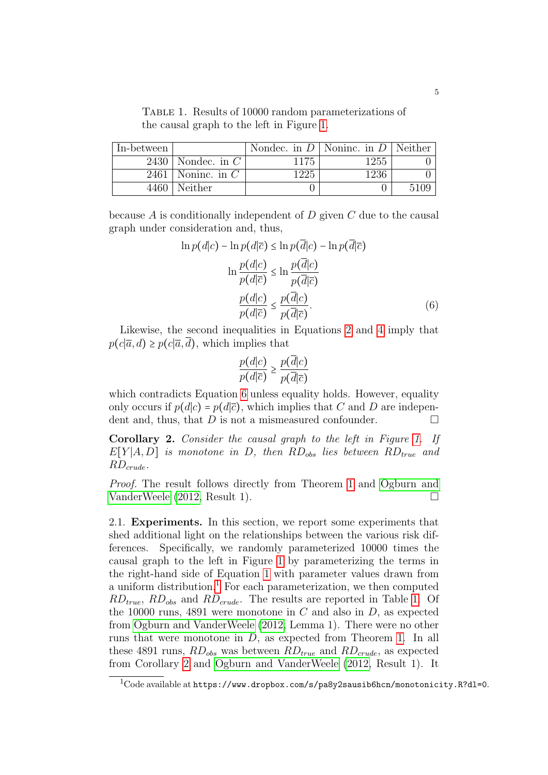<span id="page-4-2"></span>Table 1. Results of 10000 random parameterizations of the causal graph to the left in Figure [1.](#page-1-0)

| In-between |                |      | Nondec. in $D \mid$ Noninc. in $D \mid$ Neither |  |
|------------|----------------|------|-------------------------------------------------|--|
| 2430       | Nondec. in $C$ | 1175 | 1255                                            |  |
| 2461       | Noninc. in $C$ | 1225 | 1236                                            |  |
| 4460       | Neither        |      |                                                 |  |

because  $A$  is conditionally independent of  $D$  given  $C$  due to the causal graph under consideration and, thus,

$$
\ln p(d|c) - \ln p(d|\overline{c}) \le \ln p(\overline{d}|c) - \ln p(\overline{d}|\overline{c})
$$

$$
\ln \frac{p(d|c)}{p(d|\overline{c})} \le \ln \frac{p(\overline{d}|c)}{p(\overline{d}|\overline{c})}
$$

$$
\frac{p(d|c)}{p(d|\overline{c})} \le \frac{p(\overline{d}|c)}{p(\overline{d}|\overline{c})}.
$$
(6)

Likewise, the second inequalities in Equations [2](#page-2-0) and [4](#page-2-2) imply that  $p(c|\overline{a}, d) \geq p(c|\overline{a}, d)$ , which implies that

<span id="page-4-0"></span>
$$
\frac{p(d|c)}{p(d|\overline{c})} \ge \frac{p(\overline{d}|c)}{p(\overline{d}|\overline{c})}
$$

which contradicts Equation [6](#page-4-0) unless equality holds. However, equality only occurs if  $p(d|c) = p(d|\overline{c})$ , which implies that C and D are independent and, thus, that  $D$  is not a mismeasured confounder.  $\Box$ 

<span id="page-4-3"></span>Corollary 2. Consider the causal graph to the left in Figure [1.](#page-1-0) If  $E[Y|A, D]$  is monotone in D, then  $RD_{obs}$  lies between  $RD_{true}$  and  $RD_{crude}.$ 

Proof. The result follows directly from Theorem [1](#page-2-4) and [Ogburn and](#page-18-0) [VanderWeele](#page-18-0) [\(2012,](#page-18-0) Result 1).

2.1. Experiments. In this section, we report some experiments that shed additional light on the relationships between the various risk differences. Specifically, we randomly parameterized 10000 times the causal graph to the left in Figure [1](#page-1-0) by parameterizing the terms in the right-hand side of Equation [1](#page-1-2) with parameter values drawn from a uniform distribution.<sup>[1](#page-4-1)</sup> For each parameterization, we then computed  $RD_{true}$ ,  $RD_{obs}$  and  $RD_{crude}$ . The results are reported in Table [1.](#page-4-2) Of the 10000 runs, 4891 were monotone in C and also in D, as expected from [Ogburn and VanderWeele](#page-18-0) [\(2012,](#page-18-0) Lemma 1). There were no other runs that were monotone in D, as expected from Theorem [1.](#page-2-4) In all these 4891 runs,  $RD_{obs}$  was between  $RD_{true}$  and  $RD_{crude}$ , as expected from Corollary [2](#page-4-3) and [Ogburn and VanderWeele](#page-18-0) [\(2012,](#page-18-0) Result 1). It

<span id="page-4-1"></span> $1$ Code available at https://www.dropbox.com/s/pa8y2sausib6hcn/monotonicity.R?dl=0.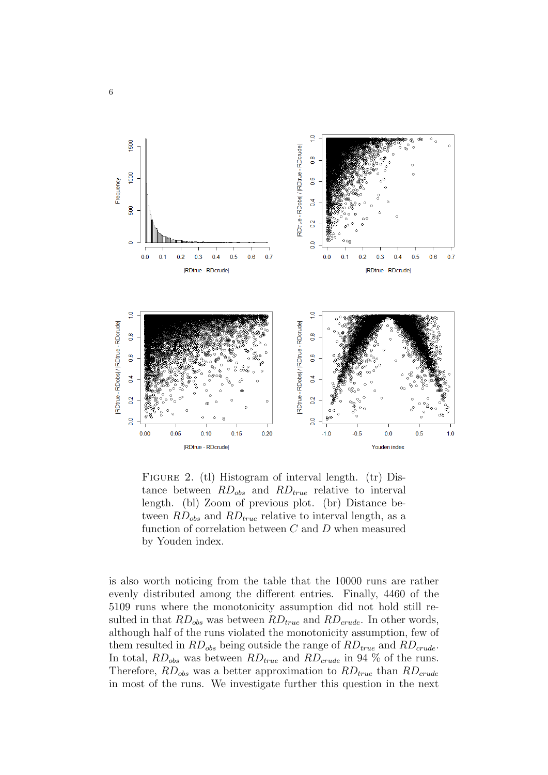

<span id="page-5-0"></span>FIGURE 2. (tl) Histogram of interval length. (tr) Distance between  $RD_{obs}$  and  $RD_{true}$  relative to interval length. (bl) Zoom of previous plot. (br) Distance between  $RD_{obs}$  and  $RD_{true}$  relative to interval length, as a function of correlation between C and D when measured by Youden index.

is also worth noticing from the table that the 10000 runs are rather evenly distributed among the different entries. Finally, 4460 of the 5109 runs where the monotonicity assumption did not hold still resulted in that  $RD_{obs}$  was between  $RD_{true}$  and  $RD_{crude}$ . In other words, although half of the runs violated the monotonicity assumption, few of them resulted in  $RD_{obs}$  being outside the range of  $RD_{true}$  and  $RD_{crude}$ . In total,  $RD_{obs}$  was between  $RD_{true}$  and  $RD_{crude}$  in 94 % of the runs. Therefore,  $RD_{obs}$  was a better approximation to  $RD_{true}$  than  $RD_{crude}$ in most of the runs. We investigate further this question in the next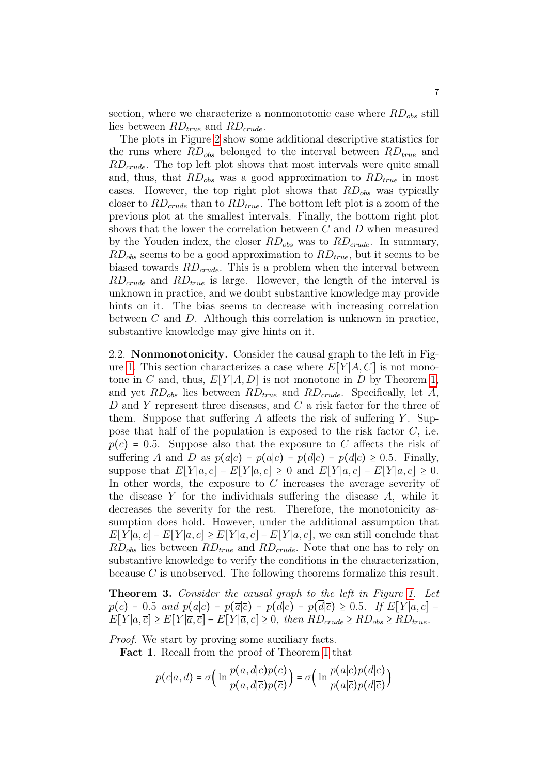section, where we characterize a nonmonotonic case where  $RD_{obs}$  still lies between  $RD_{true}$  and  $RD_{crude}$ .

The plots in Figure [2](#page-5-0) show some additional descriptive statistics for the runs where  $RD_{obs}$  belonged to the interval between  $RD_{true}$  and  $RD_{crude}$ . The top left plot shows that most intervals were quite small and, thus, that  $RD_{obs}$  was a good approximation to  $RD_{true}$  in most cases. However, the top right plot shows that  $RD_{obs}$  was typically closer to  $RD_{crude}$  than to  $RD_{true}$ . The bottom left plot is a zoom of the previous plot at the smallest intervals. Finally, the bottom right plot shows that the lower the correlation between C and D when measured by the Youden index, the closer  $RD_{obs}$  was to  $RD_{crude}$ . In summary,  $RD_{obs}$  seems to be a good approximation to  $RD_{true}$ , but it seems to be biased towards  $RD_{crude}$ . This is a problem when the interval between  $RD_{crude}$  and  $RD_{true}$  is large. However, the length of the interval is unknown in practice, and we doubt substantive knowledge may provide hints on it. The bias seems to decrease with increasing correlation between  $C$  and  $D$ . Although this correlation is unknown in practice, substantive knowledge may give hints on it.

2.2. Nonmonotonicity. Consider the causal graph to the left in Fig-ure [1.](#page-1-0) This section characterizes a case where  $E[Y|A, C]$  is not monotone in C and, thus,  $E[Y|A, D]$  is not monotone in D by Theorem [1,](#page-2-4) and yet  $RD_{obs}$  lies between  $RD_{true}$  and  $RD_{crude}$ . Specifically, let A, D and Y represent three diseases, and C a risk factor for the three of them. Suppose that suffering A affects the risk of suffering  $Y$ . Suppose that half of the population is exposed to the risk factor  $C$ , i.e.  $p(c) = 0.5$ . Suppose also that the exposure to C affects the risk of suffering A and D as  $p(a|c) = p(\overline{a}|\overline{c}) = p(d|c) = p(\overline{d}|\overline{c}) \ge 0.5$ . Finally, suppose that  $E[Y|a, c] - E[Y|a, \overline{c}] \ge 0$  and  $E[Y|\overline{a}, \overline{c}] - E[Y|\overline{a}, c] \ge 0$ . In other words, the exposure to C increases the average severity of the disease Y for the individuals suffering the disease  $A$ , while it decreases the severity for the rest. Therefore, the monotonicity assumption does hold. However, under the additional assumption that  $E[Y|a, c] - E[Y|a, \bar{c}] \geq E[Y|\bar{a}, \bar{c}] - E[Y|\bar{a}, c]$ , we can still conclude that  $RD_{obs}$  lies between  $RD_{true}$  and  $RD_{crude}$ . Note that one has to rely on substantive knowledge to verify the conditions in the characterization, because C is unobserved. The following theorems formalize this result.

<span id="page-6-0"></span>**Theorem 3.** Consider the causal graph to the left in Figure [1.](#page-1-0) Let  $p(c) = 0.5$  and  $p(a|c) = p(\overline{a}|\overline{c}) = p(d|c) = p(d|\overline{c}) \ge 0.5$ . If  $E[Y|a, c]$  $E[Y|a,\overline{c}] \geq E[Y|\overline{a},\overline{c}] - E[Y|\overline{a},c] \geq 0$ , then  $RD_{crude} \geq RD_{obs} \geq RD_{true}$ .

Proof. We start by proving some auxiliary facts.

Fact 1. Recall from the proof of Theorem [1](#page-2-4) that

$$
p(c|a, d) = \sigma\left(\ln \frac{p(a, d|c)p(c)}{p(a, d|\overline{c})p(\overline{c})}\right) = \sigma\left(\ln \frac{p(a|c)p(d|c)}{p(a|\overline{c})p(d|\overline{c})}\right)
$$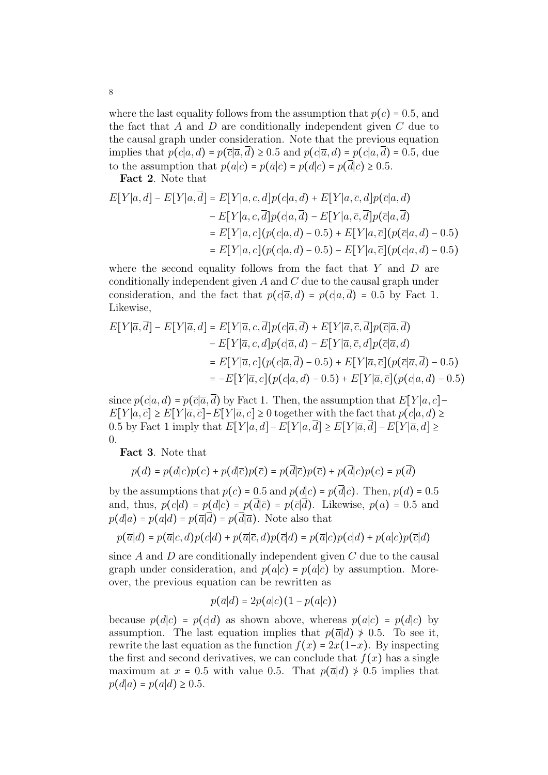where the last equality follows from the assumption that  $p(c) = 0.5$ , and the fact that A and D are conditionally independent given  $C$  due to the causal graph under consideration. Note that the previous equation implies that  $p(c|a, d) = p(\overline{c}|\overline{a}, d) \ge 0.5$  and  $p(c|\overline{a}, d) = p(c|a, d) = 0.5$ , due to the assumption that  $p(a|c) = p(\overline{a}|\overline{c}) = p(d|c) = p(\overline{d}|\overline{c}) \ge 0.5$ .

Fact 2. Note that

$$
E[Y|a,d] - E[Y|a,\overline{d}] = E[Y|a,c,d]p(c|a,d) + E[Y|a,\overline{c},d]p(\overline{c}|a,d) - E[Y|a,c,\overline{d}]p(c|a,\overline{d}) - E[Y|a,\overline{c},\overline{d}]p(\overline{c}|a,\overline{d}) = E[Y|a,c](p(c|a,d) - 0.5) + E[Y|a,\overline{c}](p(\overline{c}|a,d) - 0.5) = E[Y|a,c](p(c|a,d) - 0.5) - E[Y|a,\overline{c}](p(c|a,d) - 0.5)
$$

where the second equality follows from the fact that  $Y$  and  $D$  are conditionally independent given  $A$  and  $C$  due to the causal graph under consideration, and the fact that  $p(c|\overline{a}, d) = p(c|a, \overline{d}) = 0.5$  by Fact 1. Likewise,

$$
E[Y|\overline{a}, \overline{d}] - E[Y|\overline{a}, d] = E[Y|\overline{a}, c, \overline{d}]p(c|\overline{a}, \overline{d}) + E[Y|\overline{a}, \overline{c}, \overline{d}]p(\overline{c}|\overline{a}, \overline{d})
$$
  
\n
$$
- E[Y|\overline{a}, c, d]p(c|\overline{a}, d) - E[Y|\overline{a}, \overline{c}, d]p(\overline{c}|\overline{a}, d)
$$
  
\n
$$
= E[Y|\overline{a}, c](p(c|\overline{a}, \overline{d}) - 0.5) + E[Y|\overline{a}, \overline{c}](p(\overline{c}|\overline{a}, \overline{d}) - 0.5)
$$
  
\n
$$
= -E[Y|\overline{a}, c](p(c|a, d) - 0.5) + E[Y|\overline{a}, \overline{c}](p(c|a, d) - 0.5)
$$

since  $p(c|a, d) = p(\overline{c}|\overline{a}, \overline{d})$  by Fact 1. Then, the assumption that  $E[Y|a, c]$ –  $E[Y|a,\overline{c}] \geq E[Y|\overline{a},\overline{c}] - E[Y|\overline{a},c] \geq 0$  together with the fact that  $p(c|a,d) \geq$ 0.5 by Fact 1 imply that  $E[Y|a, d] - E[Y|a, \overline{d}] \geq E[Y|\overline{a}, \overline{d}] - E[Y|\overline{a}, d] \geq$ 0.

Fact 3. Note that

$$
p(d) = p(d|c)p(c) + p(d|\overline{c})p(\overline{c}) = p(\overline{d}|\overline{c})p(\overline{c}) + p(\overline{d}|c)p(c) = p(\overline{d})
$$

by the assumptions that  $p(c) = 0.5$  and  $p(d|c) = p(d|\overline{c})$ . Then,  $p(d) = 0.5$ and, thus,  $p(c|d) = p(d|c) = p(d|\overline{c}) = p(\overline{c}|d)$ . Likewise,  $p(a) = 0.5$  and  $p(d|a) = p(a|d) = p(\overline{a}|\overline{d}) = p(\overline{d}|\overline{a})$ . Note also that

$$
p(\overline{a}|d) = p(\overline{a}|c,d)p(c|d) + p(\overline{a}|\overline{c},d)p(\overline{c}|d) = p(\overline{a}|c)p(c|d) + p(a|c)p(\overline{c}|d)
$$

since  $A$  and  $D$  are conditionally independent given  $C$  due to the causal graph under consideration, and  $p(a|c) = p(\overline{a}|\overline{c})$  by assumption. Moreover, the previous equation can be rewritten as

$$
p(\overline{a}|d) = 2p(a|c)(1 - p(a|c))
$$

because  $p(d|c) = p(c|d)$  as shown above, whereas  $p(a|c) = p(d|c)$  by assumption. The last equation implies that  $p(\overline{a}|d) \neq 0.5$ . To see it, rewrite the last equation as the function  $f(x) = 2x(1-x)$ . By inspecting the first and second derivatives, we can conclude that  $f(x)$  has a single maximum at  $x = 0.5$  with value 0.5. That  $p(\overline{a}|d) \ge 0.5$  implies that  $p(d|a) = p(a|d) \ge 0.5$ .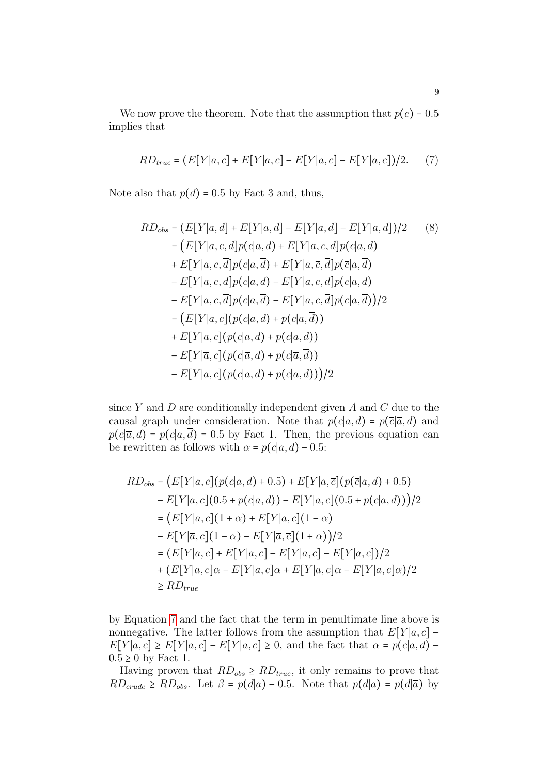We now prove the theorem. Note that the assumption that  $p(c) = 0.5$ implies that

<span id="page-8-0"></span>
$$
RD_{true} = (E[Y|a,c] + E[Y|a,\overline{c}] - E[Y|\overline{a},c] - E[Y|\overline{a},\overline{c}])/2.
$$
 (7)

Note also that  $p(d) = 0.5$  by Fact 3 and, thus,

<span id="page-8-1"></span>
$$
RD_{obs} = (E[Y|a,d] + E[Y|a,\overline{d}] - E[Y|\overline{a},d] - E[Y|\overline{a},\overline{d}])/2
$$
\n
$$
= (E[Y|a,c,d]p(c|a,d) + E[Y|a,\overline{c},d]p(\overline{c}|a,d)
$$
\n
$$
+ E[Y|a,c,\overline{d}]p(c|a,\overline{d}) + E[Y|a,\overline{c},\overline{d}]p(\overline{c}|a,\overline{d})
$$
\n
$$
- E[Y|\overline{a},c,d]p(c|\overline{a},d) - E[Y|\overline{a},\overline{c},d]p(\overline{c}|\overline{a},d)
$$
\n
$$
- E[Y|\overline{a},c,\overline{d}]p(c|\overline{a},\overline{d}) - E[Y|\overline{a},\overline{c},\overline{d}]p(\overline{c}|\overline{a},\overline{d}))/2
$$
\n
$$
= (E[Y|a,c](p(c|a,d) + p(c|a,\overline{d}))
$$
\n
$$
+ E[Y|a,\overline{c}](p(\overline{c}|a,d) + p(\overline{c}|a,\overline{d}))
$$
\n
$$
- E[Y|\overline{a},c](p(c|\overline{a},d) + p(c|\overline{a},\overline{d}))
$$
\n
$$
- E[Y|\overline{a},c](p(\overline{c}|\overline{a},d) + p(c|\overline{a},\overline{d})))
$$

since  $Y$  and  $D$  are conditionally independent given  $A$  and  $C$  due to the causal graph under consideration. Note that  $p(c|a, d) = p(\bar{c}|\bar{a}, \bar{d})$  and  $p(c|\overline{a}, d) = p(c|a, d) = 0.5$  by Fact 1. Then, the previous equation can be rewritten as follows with  $\alpha = p(c|a, d) - 0.5$ :

$$
RD_{obs} = (E[Y|a, c](p(c|a, d) + 0.5) + E[Y|a, \overline{c}](p(\overline{c}|a, d) + 0.5) - E[Y|\overline{a}, c](0.5 + p(\overline{c}|a, d)) - E[Y|\overline{a}, \overline{c}](0.5 + p(c|a, d))) / 2 = (E[Y|a, c](1 + \alpha) + E[Y|a, \overline{c}](1 - \alpha) - E[Y|\overline{a}, c](1 - \alpha) - E[Y|\overline{a}, \overline{c}](1 + \alpha)) / 2 = (E[Y|a, c] + E[Y|a, \overline{c}] - E[Y|\overline{a}, c] - E[Y|\overline{a}, \overline{c}]) / 2 + (E[Y|a, c]\alpha - E[Y|a, \overline{c}]\alpha + E[Y|\overline{a}, c]\alpha - E[Y|\overline{a}, \overline{c}]\alpha) / 2 \ge R D_{true}
$$

by Equation [7](#page-8-0) and the fact that the term in penultimate line above is nonnegative. The latter follows from the assumption that  $E[Y|a, c]$  –  $E[Y|a,\overline{c}] \geq E[Y|\overline{a},\overline{c}] - E[Y|\overline{a},c] \geq 0$ , and the fact that  $\alpha = p(c|a,d) 0.5 \geq 0$  by Fact 1.

Having proven that  $RD_{obs} \geq RD_{true}$ , it only remains to prove that  $RD_{crude} \geq RD_{obs}$ . Let  $\beta = p(d|a) - 0.5$ . Note that  $p(d|a) = p(\overline{d}|\overline{a})$  by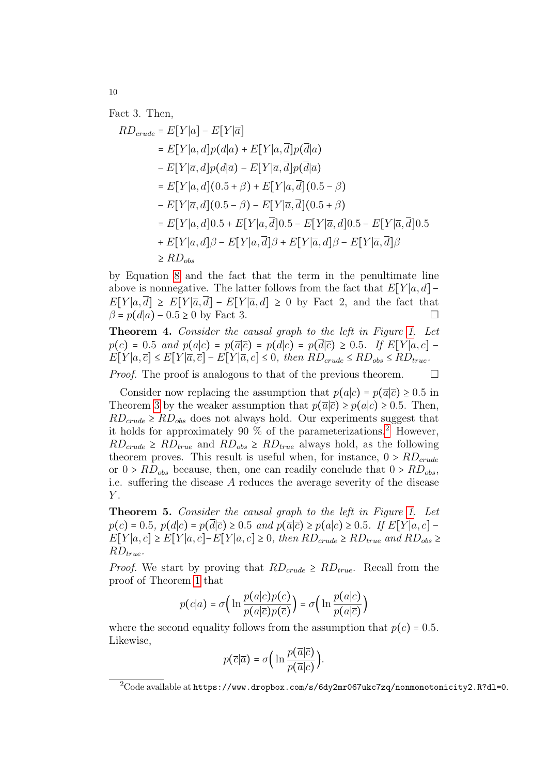Fact 3. Then,

$$
RD_{crude} = E[Y|a] - E[Y|\overline{a}]
$$
  
\n
$$
= E[Y|a, d]p(d|a) + E[Y|a, \overline{d}]p(\overline{d}|a)
$$
  
\n
$$
- E[Y|\overline{a}, d]p(d|\overline{a}) - E[Y|\overline{a}, \overline{d}]p(\overline{d}|\overline{a})
$$
  
\n
$$
= E[Y|a, d](0.5 + \beta) + E[Y|a, \overline{d}](0.5 - \beta)
$$
  
\n
$$
- E[Y|\overline{a}, d](0.5 - \beta) - E[Y|\overline{a}, \overline{d}](0.5 + \beta)
$$
  
\n
$$
= E[Y|a, d]0.5 + E[Y|a, \overline{d}]0.5 - E[Y|\overline{a}, d]0.5 - E[Y|\overline{a}, \overline{d}](0.5 + E[Y|\overline{a}, \overline{d}](0.5 + E[Y|\overline{a}, \overline{d}](0.5 + E[Y|\overline{a}, \overline{d}](0.5 + E[Y|\overline{a}, \overline{d}](0.5 + E[Y|\overline{a}, \overline{d}](0.5 + E[Y|\overline{a}, \overline{d}](0.5 + E[Y|\overline{a}, \overline{d}](0.5 + E[Y|\overline{a}, \overline{d}](0.5 + E[Y|\overline{a}, \overline{d}](0.5 + E[Y|\overline{a}, \overline{d}](0.5 + E[Y|\overline{a}, \overline{d}](0.5 + E[Y|\overline{a}, \overline{d}](0.5 + E[Y|\overline{a}, \overline{d}](0.5 + E[Y|\overline{a}, \overline{d}](0.5 + E[Y|\overline{a}, \overline{d}](0.5 + E[Y|\overline{a}, \overline{d}](0.5 + E[Y|\overline{a}, \overline{d}](0.5 + E[Y|\overline{a}, \overline{d}](0.5 + E[Y|\overline{a}, \overline{d}](0.5 + E[Y|\overline{a}, \overline{d}](0.5 + E[Y|\overline{a}, \overline{d}](0.5 + E[Y|\overline{a}, \overline{d}](0.5 + E[Y|\overline{a}, \overline{d}](0.5 + E[Y|\overline{a}, \overline{d}](0.5 + E[Y|\overline{a}, \
$$

by Equation [8](#page-8-1) and the fact that the term in the penultimate line above is nonnegative. The latter follows from the fact that  $E[Y|a, d]$  –  $E[Y|a,\overline{d}] \geq E[Y|\overline{a},\overline{d}] - E[Y|\overline{a},d] \geq 0$  by Fact 2, and the fact that  $\beta = p(d|a) - 0.5 \ge 0$  by Fact 3.

Theorem 4. Consider the causal graph to the left in Figure [1.](#page-1-0) Let  $p(c) = 0.5$  and  $p(a|c) = p(\overline{a}|\overline{c}) = p(d|c) = p(d|\overline{c}) \ge 0.5$ . If  $E[Y|a, c]$  $E[Y|a,\overline{c}] \leq E[Y|\overline{a},\overline{c}] - E[Y|\overline{a},c] \leq 0$ , then  $RD_{crude} \leq RD_{obs} \leq RD_{true}$ .

*Proof.* The proof is analogous to that of the previous theorem.  $\Box$ 

Consider now replacing the assumption that  $p(a|c) = p(\overline{a}|\overline{c}) \ge 0.5$  in Theorem [3](#page-6-0) by the weaker assumption that  $p(\bar{a}|\bar{c}) \geq p(a|c) \geq 0.5$ . Then,  $RD_{crude} \geq RD_{obs}$  does not always hold. Our experiments suggest that it holds for approximately 90  $\%$  of the parameterizations.<sup>[2](#page-9-0)</sup> However,  $RD_{crude} \geq RD_{true}$  and  $RD_{obs} \geq RD_{true}$  always hold, as the following theorem proves. This result is useful when, for instance,  $0 > RD_{crude}$ or  $0 > RD_{obs}$  because, then, one can readily conclude that  $0 > RD_{obs}$ . i.e. suffering the disease A reduces the average severity of the disease  $Y$ .

Theorem 5. Consider the causal graph to the left in Figure [1.](#page-1-0) Let  $p(c) = 0.5, p(d|c) = p(d|\overline{c}) \ge 0.5 \text{ and } p(\overline{a}|\overline{c}) \ge p(a|c) \ge 0.5. \text{ If } E[Y|a, c]$  $E[Y|a,\overline{c}] \geq E[Y|\overline{a},\overline{c}] - E[Y|\overline{a},c] \geq 0$ , then  $RD_{crude} \geq RD_{true}$  and  $RD_{obs} \geq$  $RD_{true}.$ 

*Proof.* We start by proving that  $RD_{crude} \geq RD_{true}$ . Recall from the proof of Theorem [1](#page-2-4) that

$$
p(c|a) = \sigma\left(\ln \frac{p(a|c)p(c)}{p(a|\overline{c})p(\overline{c})}\right) = \sigma\left(\ln \frac{p(a|c)}{p(a|\overline{c})}\right)
$$

where the second equality follows from the assumption that  $p(c) = 0.5$ . Likewise,

$$
p(\overline{c}|\overline{a}) = \sigma\Big(\ln\frac{p(\overline{a}|\overline{c})}{p(\overline{a}|c)}\Big).
$$

<span id="page-9-0"></span> $^{2}$ Code available at https://www.dropbox.com/s/6dy2mr067ukc7zq/nonmonotonicity2.R?dl=0.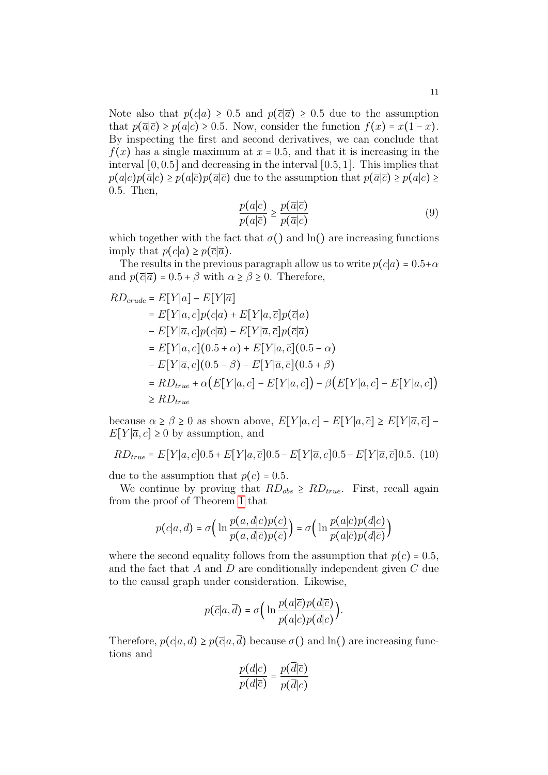Note also that  $p(c|a) \geq 0.5$  and  $p(\bar{c}|\bar{a}) \geq 0.5$  due to the assumption that  $p(\overline{a}|\overline{c}) \geq p(a|c) \geq 0.5$ . Now, consider the function  $f(x) = x(1-x)$ . By inspecting the first and second derivatives, we can conclude that  $f(x)$  has a single maximum at  $x = 0.5$ , and that it is increasing in the interval [0, 0.5] and decreasing in the interval [0.5, 1]. This implies that  $p(a|c)p(\overline{a}|c) \geq p(a|\overline{c})p(\overline{a}|\overline{c})$  due to the assumption that  $p(\overline{a}|\overline{c}) \geq p(a|c) \geq$ 0.5. Then,

<span id="page-10-0"></span>
$$
\frac{p(a|c)}{p(a|\overline{c})} \ge \frac{p(\overline{a}|\overline{c})}{p(\overline{a}|c)}\tag{9}
$$

which together with the fact that  $\sigma()$  and  $\ln()$  are increasing functions imply that  $p(c|a) \geq p(\overline{c}|\overline{a})$ .

The results in the previous paragraph allow us to write  $p(c|a) = 0.5+\alpha$ and  $p(\bar{c}|\bar{a}) = 0.5 + \beta$  with  $\alpha \ge \beta \ge 0$ . Therefore,

$$
RD_{crude} = E[Y|a] - E[Y|\overline{a}]
$$
  
\n
$$
= E[Y|a, c]p(c|a) + E[Y|a, \overline{c}]p(\overline{c}|a)
$$
  
\n
$$
- E[Y|\overline{a}, c]p(c|\overline{a}) - E[Y|\overline{a}, \overline{c}]p(\overline{c}|\overline{a})
$$
  
\n
$$
= E[Y|a, c](0.5 + \alpha) + E[Y|a, \overline{c}](0.5 - \alpha)
$$
  
\n
$$
- E[Y|\overline{a}, c](0.5 - \beta) - E[Y|\overline{a}, \overline{c}](0.5 + \beta)
$$
  
\n
$$
= RD_{true} + \alpha(E[Y|a, c] - E[Y|a, \overline{c}]) - \beta(E[Y|\overline{a}, \overline{c}] - E[Y|\overline{a}, c])
$$
  
\n
$$
\geq RD_{true}
$$

because  $\alpha \geq \beta \geq 0$  as shown above,  $E[Y|a,c] - E[Y|a,\overline{c}] \geq E[Y|\overline{a},\overline{c}]$  $E[Y|\overline{a}, c] \geq 0$  by assumption, and

<span id="page-10-1"></span>
$$
RD_{true} = E[Y|a, c]0.5 + E[Y|a, \overline{c}]0.5 - E[Y|\overline{a}, c]0.5 - E[Y|\overline{a}, \overline{c}]0.5. (10)
$$

due to the assumption that  $p(c) = 0.5$ .

We continue by proving that  $RD_{obs} \geq RD_{true}$ . First, recall again from the proof of Theorem [1](#page-2-4) that

$$
p(c|a,d) = \sigma\left(\ln \frac{p(a,d|c)p(c)}{p(a,d|\overline{c})p(\overline{c})}\right) = \sigma\left(\ln \frac{p(a|c)p(d|c)}{p(a|\overline{c})p(d|\overline{c})}\right)
$$

where the second equality follows from the assumption that  $p(c) = 0.5$ , and the fact that  $A$  and  $D$  are conditionally independent given  $C$  due to the causal graph under consideration. Likewise,

$$
p(\overline{c}|a,\overline{d}) = \sigma\left(\ln \frac{p(a|\overline{c})p(d|\overline{c})}{p(a|c)p(\overline{d}|c)}\right).
$$

Therefore,  $p(c|a, d) \ge p(\overline{c}|a, \overline{d})$  because  $\sigma$ () and ln() are increasing functions and

$$
\frac{p(d|c)}{p(d|\overline{c})} = \frac{p(d|\overline{c})}{p(\overline{d}|c)}
$$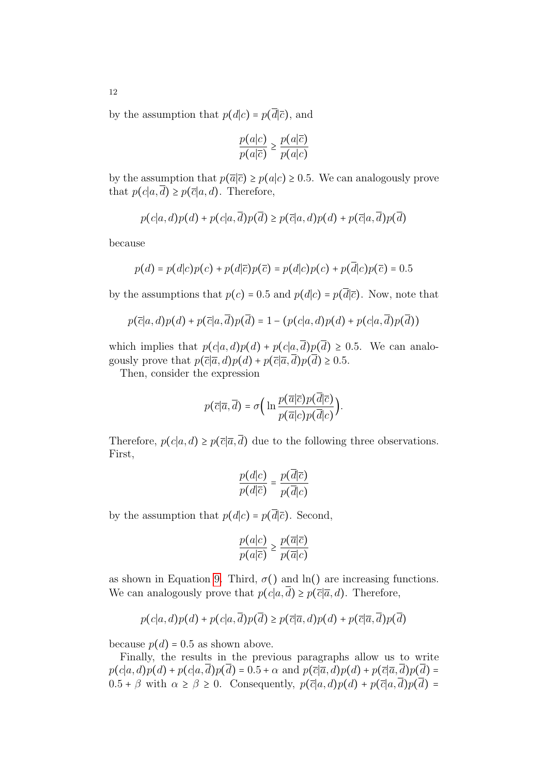by the assumption that  $p(d|c) = p(\overline{d}|\overline{c})$ , and

$$
\frac{p(a|c)}{p(a|\overline{c})} \ge \frac{p(a|\overline{c})}{p(a|c)}
$$

by the assumption that  $p(\overline{a}|\overline{c}) \geq p(a|c) \geq 0.5$ . We can analogously prove that  $p(c|a,\overline{d}) \geq p(\overline{c}|a,d)$ . Therefore,

$$
p(c|a,d)p(d) + p(c|a,\overline{d})p(\overline{d}) \ge p(\overline{c}|a,d)p(d) + p(\overline{c}|a,\overline{d})p(\overline{d})
$$

because

$$
p(d) = p(d|c)p(c) + p(d|\overline{c})p(\overline{c}) = p(d|c)p(c) + p(\overline{d}|c)p(\overline{c}) = 0.5
$$

by the assumptions that  $p(c) = 0.5$  and  $p(d|c) = p(\overline{d}|\overline{c})$ . Now, note that

$$
p(\overline{c}|a,d)p(d) + p(\overline{c}|a,\overline{d})p(\overline{d}) = 1 - (p(c|a,d)p(d) + p(c|a,\overline{d})p(\overline{d}))
$$

which implies that  $p(c|a, d)p(d) + p(c|a, d)p(\overline{d}) \ge 0.5$ . We can analogously prove that  $p(\bar{c}|\bar{a}, d)p(d) + p(\bar{c}|\bar{a}, \bar{d})p(\bar{d}) \ge 0.5$ .

Then, consider the expression

$$
p(\overline{c}|\overline{a},\overline{d}) = \sigma\Big(\ln\frac{p(\overline{a}|\overline{c})p(d|\overline{c})}{p(\overline{a}|c)p(\overline{d}|c)}\Big).
$$

Therefore,  $p(c|a, d) \geq p(\overline{c}|\overline{a}, \overline{d})$  due to the following three observations. First,

$$
\frac{p(d|c)}{p(d|\overline{c})} = \frac{p(\overline{d}|\overline{c})}{p(\overline{d}|c)}
$$

by the assumption that  $p(d|c) = p(\overline{d}|\overline{c})$ . Second,

$$
\frac{p(a|c)}{p(a|\overline{c})} \ge \frac{p(\overline{a}|\overline{c})}{p(\overline{a}|c)}
$$

as shown in Equation [9.](#page-10-0) Third,  $\sigma()$  and  $\ln()$  are increasing functions. We can analogously prove that  $p(c|a,\overline{d}) \geq p(\overline{c}|\overline{a},d)$ . Therefore,

$$
p(c|a, d)p(d) + p(c|a, \overline{d})p(\overline{d}) \ge p(\overline{c}|\overline{a}, d)p(d) + p(\overline{c}|\overline{a}, \overline{d})p(\overline{d})
$$

because  $p(d) = 0.5$  as shown above.

Finally, the results in the previous paragraphs allow us to write  $p(c|a, d)p(d) + p(c|a, d)p(\overline{d}) = 0.5 + \alpha$  and  $p(\overline{c}|\overline{a}, d)p(d) + p(\overline{c}|\overline{a}, d)p(\overline{d}) =$  $0.5 + \beta$  with  $\alpha \ge \beta \ge 0$ . Consequently,  $p(\overline{c}|a, d)p(d) + p(\overline{c}|a, d)p(\overline{d}) =$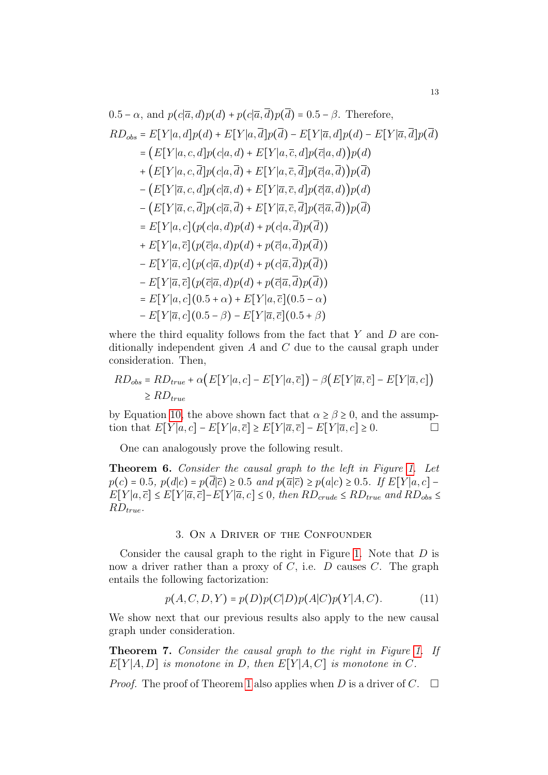$$
0.5 - \alpha, \text{ and } p(c|\overline{a}, d)p(d) + p(c|\overline{a}, d)p(d) = 0.5 - \beta. \text{ Therefore,}
$$
\n
$$
RD_{obs} = E[Y|a, d]p(d) + E[Y|a, \overline{d}]p(\overline{d}) - E[Y|\overline{a}, d]p(d) - E[Y|\overline{a}, \overline{d}]p(\overline{d})
$$
\n
$$
= (E[Y|a, c, d]p(c|a, d) + E[Y|a, \overline{c}, d]p(\overline{c}|a, d))p(d)
$$
\n
$$
+ (E[Y|a, c, \overline{d}]p(c|a, \overline{d}) + E[Y|a, \overline{c}, \overline{d}]p(\overline{c}|a, \overline{d}))p(\overline{d})
$$
\n
$$
- (E[Y|\overline{a}, c, d]p(c|\overline{a}, d) + E[Y|\overline{a}, \overline{c}, d]p(\overline{c}|\overline{a}, d))p(d)
$$
\n
$$
- (E[Y|\overline{a}, c, \overline{d}]p(c|\overline{a}, \overline{d}) + E[Y|\overline{a}, \overline{c}, \overline{d}]p(\overline{c}|\overline{a}, \overline{d}))p(\overline{d})
$$
\n
$$
= E[Y|a, c](p(c|a, d)p(d) + p(c|a, \overline{d})p(\overline{d}))
$$
\n
$$
+ E[Y|a, \overline{c}](p(\overline{c}|a, d)p(d) + p(\overline{c}|\overline{a}, \overline{d})p(\overline{d}))
$$
\n
$$
- E[Y|\overline{a}, c](p(\overline{c}|\overline{a}, d)p(d) + p(\overline{c}|\overline{a}, \overline{d})p(\overline{d}))
$$
\n
$$
= E[Y|a, c](0.5 + \alpha) + E[Y|a, \overline{c}](0.5 - \alpha)
$$
\n
$$
- E[Y|\overline{a}, c](0.5 - \beta) - E[Y|\overline{a}, \overline{c}](0.5 + \beta)
$$

where the third equality follows from the fact that  $Y$  and  $D$  are conditionally independent given A and C due to the causal graph under consideration. Then,

$$
RD_{obs} = RD_{true} + \alpha (E[Y|a, c] - E[Y|a, \overline{c}]) - \beta (E[Y|\overline{a}, \overline{c}] - E[Y|\overline{a}, c])
$$
  
\n
$$
\geq RD_{true}
$$

by Equation [10,](#page-10-1) the above shown fact that  $\alpha \geq \beta \geq 0$ , and the assumption that  $E[Y|a, c] - E[Y|a, \overline{c}] \ge E[Y|\overline{a}, \overline{c}] - E[Y|\overline{a}, c] \ge 0.$ 

One can analogously prove the following result.

Theorem 6. Consider the causal graph to the left in Figure [1.](#page-1-0) Let  $p(c) = 0.5, p(d|c) = p(\overline{d}|\overline{c}) \ge 0.5 \text{ and } p(\overline{a}|\overline{c}) \ge p(a|c) \ge 0.5. \text{ If } E[Y|a, c]$  $E[Y|a,\overline{c}] \leq E[Y|\overline{a},\overline{c}] - E[Y|\overline{a},c] \leq 0$ , then  $RD_{crude} \leq RD_{true}$  and  $RD_{obs} \leq$  $RD_{true}.$ 

#### 3. On a Driver of the Confounder

<span id="page-12-0"></span>Consider the causal graph to the right in Figure [1.](#page-1-0) Note that  $D$  is now a driver rather than a proxy of  $C$ , i.e.  $D$  causes  $C$ . The graph entails the following factorization:

<span id="page-12-1"></span>
$$
p(A, C, D, Y) = p(D)p(C|D)p(A|C)p(Y|A, C).
$$
 (11)

We show next that our previous results also apply to the new causal graph under consideration.

<span id="page-12-2"></span>Theorem 7. Consider the causal graph to the right in Figure [1.](#page-1-0) If  $E[Y|A, D]$  is monotone in D, then  $E[Y|A, C]$  is monotone in C.

*Proof.* The proof of Theorem [1](#page-2-4) also applies when D is a driver of C.  $\Box$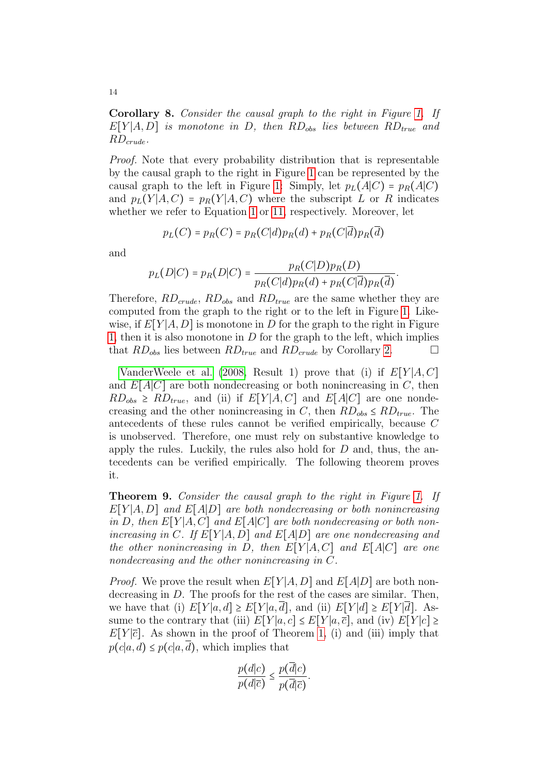<span id="page-13-1"></span>Corollary 8. Consider the causal graph to the right in Figure [1.](#page-1-0) If  $E[Y|A, D]$  is monotone in D, then  $RD_{obs}$  lies between  $RD_{true}$  and  $RD_{crude}$ .

Proof. Note that every probability distribution that is representable by the causal graph to the right in Figure [1](#page-1-0) can be represented by the causal graph to the left in Figure [1:](#page-1-0) Simply, let  $p_L(A|C) = p_R(A|C)$ and  $p_L(Y|A, C) = p_R(Y|A, C)$  where the subscript L or R indicates whether we refer to Equation [1](#page-1-2) or [11,](#page-12-1) respectively. Moreover, let

$$
p_L(C) = p_R(C) = p_R(C|d)p_R(d) + p_R(C|d)p_R(d)
$$

and

$$
p_L(D|C) = p_R(D|C) = \frac{p_R(C|D)p_R(D)}{p_R(C|d)p_R(d) + p_R(C|\overline{d})p_R(\overline{d})}.
$$

Therefore,  $RD_{crude}$ ,  $RD_{obs}$  and  $RD_{true}$  are the same whether they are computed from the graph to the right or to the left in Figure [1.](#page-1-0) Likewise, if  $E[Y|A, D]$  is monotone in D for the graph to the right in Figure [1,](#page-1-0) then it is also monotone in  $D$  for the graph to the left, which implies that  $RD_{obs}$  lies between  $RD_{true}$  and  $RD_{crude}$  by Corollary [2.](#page-4-3)

[VanderWeele et al.](#page-18-3) [\(2008,](#page-18-3) Result 1) prove that (i) if  $E[Y|A,C]$ and  $E[A|C]$  are both nondecreasing or both nonincreasing in C, then  $RD_{obs} \geq RD_{true}$ , and (ii) if  $E[Y|A, C]$  and  $E[A|C]$  are one nondecreasing and the other nonincreasing in C, then  $RD_{obs} \leq RD_{true}$ . The antecedents of these rules cannot be verified empirically, because C is unobserved. Therefore, one must rely on substantive knowledge to apply the rules. Luckily, the rules also hold for  $D$  and, thus, the antecedents can be verified empirically. The following theorem proves it.

<span id="page-13-0"></span>Theorem 9. Consider the causal graph to the right in Figure [1.](#page-1-0) If  $E[Y|A, D]$  and  $E[A|D]$  are both nondecreasing or both nonincreasing in D, then  $E[Y|A, C]$  and  $E[A|C]$  are both nondecreasing or both nonincreasing in C. If  $E[Y|A, D]$  and  $E[A|D]$  are one nondecreasing and the other nonincreasing in D, then  $E[Y|A, C]$  and  $E[A|C]$  are one nondecreasing and the other nonincreasing in C.

*Proof.* We prove the result when  $E[Y|A, D]$  and  $E[A|D]$  are both nondecreasing in D. The proofs for the rest of the cases are similar. Then, we have that (i)  $E[Y|a, d] \ge E[Y|a, d]$ , and (ii)  $E[Y|d] \ge E[Y|d]$ . Assume to the contrary that (iii)  $E[Y|a, c] \leq E[Y|a, \overline{c}]$ , and (iv)  $E[Y|c] \geq$  $E[Y|\bar{c}]$ . As shown in the proof of Theorem [1,](#page-2-4) (i) and (iii) imply that  $p(c|a, d) \leq p(c|a, d)$ , which implies that

$$
\frac{p(d|c)}{p(d|\overline{c})} \le \frac{p(d|c)}{p(\overline{d}|\overline{c})}.
$$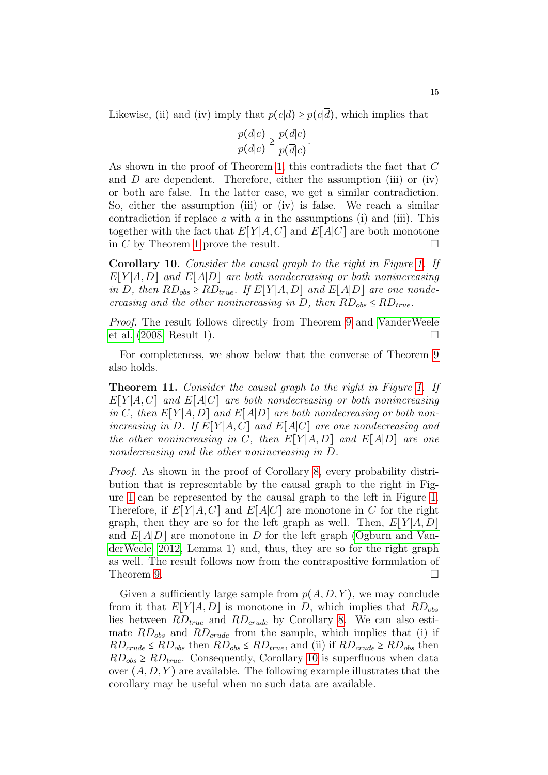Likewise, (ii) and (iv) imply that  $p(c|d) \geq p(c|\overline{d})$ , which implies that

$$
\frac{p(d|c)}{p(d|\overline{c})} \ge \frac{p(d|c)}{p(\overline{d}|\overline{c})}.
$$

As shown in the proof of Theorem [1,](#page-2-4) this contradicts the fact that C and  $D$  are dependent. Therefore, either the assumption (iii) or (iv) or both are false. In the latter case, we get a similar contradiction. So, either the assumption (iii) or (iv) is false. We reach a similar contradiction if replace a with  $\bar{a}$  in the assumptions (i) and (iii). This together with the fact that  $E[Y|A, C]$  and  $E[A|C]$  are both monotone in C by Theorem [1](#page-2-4) prove the result.

<span id="page-14-0"></span>Corollary 10. Consider the causal graph to the right in Figure [1.](#page-1-0) If  $E[Y|A, D]$  and  $E[A|D]$  are both nondecreasing or both nonincreasing in D, then  $RD_{obs} \geq RD_{true}$ . If  $E[Y|A, D]$  and  $E[A|D]$  are one nondecreasing and the other nonincreasing in D, then  $RD_{obs} \leq RD_{true}$ .

Proof. The result follows directly from Theorem [9](#page-13-0) and [VanderWeele](#page-18-3) [et al.](#page-18-3)  $(2008, Result 1)$  $(2008, Result 1)$ .

For completeness, we show below that the converse of Theorem [9](#page-13-0) also holds.

Theorem 11. Consider the causal graph to the right in Figure [1.](#page-1-0) If  $E[Y|A, C]$  and  $E[A|C]$  are both nondecreasing or both nonincreasing in C, then  $E[Y|A, D]$  and  $E[A|D]$  are both nondecreasing or both nonincreasing in D. If  $E[Y|A, C]$  and  $E[A|C]$  are one nondecreasing and the other nonincreasing in C, then  $E[Y|A, D]$  and  $E[A|D]$  are one nondecreasing and the other nonincreasing in D.

Proof. As shown in the proof of Corollary [8,](#page-13-1) every probability distribution that is representable by the causal graph to the right in Figure [1](#page-1-0) can be represented by the causal graph to the left in Figure [1.](#page-1-0) Therefore, if  $E[Y|A,C]$  and  $E[A|C]$  are monotone in C for the right graph, then they are so for the left graph as well. Then,  $E[Y|A, D]$ and  $E[A|D]$  are monotone in D for the left graph [\(Ogburn and Van](#page-18-0)[derWeele, 2012,](#page-18-0) Lemma 1) and, thus, they are so for the right graph as well. The result follows now from the contrapositive formulation of Theorem [9.](#page-13-0)  $\Box$ 

Given a sufficiently large sample from  $p(A, D, Y)$ , we may conclude from it that  $E[Y|A, D]$  is monotone in D, which implies that  $RD_{obs}$ lies between  $RD_{true}$  and  $RD_{crude}$  by Corollary [8.](#page-13-1) We can also estimate  $RD_{obs}$  and  $RD_{crude}$  from the sample, which implies that (i) if  $RD_{crude} \leq RD_{obs}$  then  $RD_{obs} \leq RD_{true}$ , and (ii) if  $RD_{crude} \geq RD_{obs}$  then  $RD_{obs} \geq RD_{true}$ . Consequently, Corollary [10](#page-14-0) is superfluous when data over  $(A, D, Y)$  are available. The following example illustrates that the corollary may be useful when no such data are available.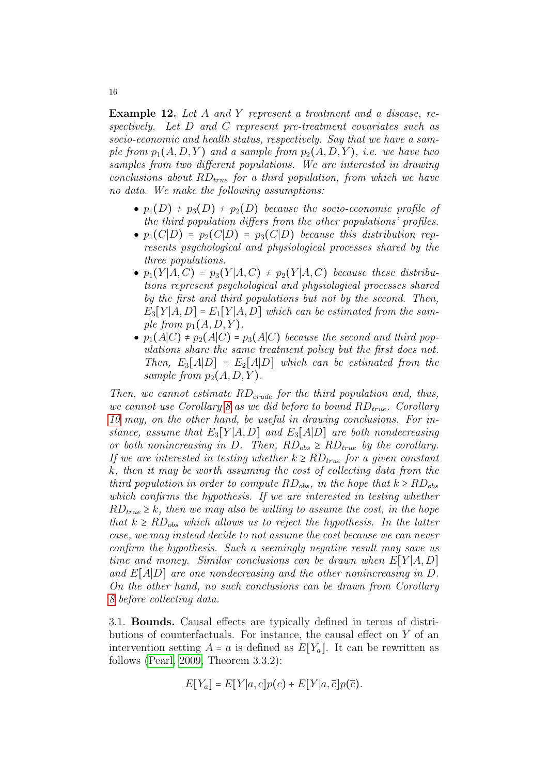Example 12. Let A and Y represent a treatment and a disease, respectively. Let D and C represent pre-treatment covariates such as socio-economic and health status, respectively. Say that we have a sample from  $p_1(A, D, Y)$  and a sample from  $p_2(A, D, Y)$ , i.e. we have two samples from two different populations. We are interested in drawing conclusions about  $RD_{true}$  for a third population, from which we have no data. We make the following assumptions:

- $p_1(D) \neq p_3(D) \neq p_2(D)$  because the socio-economic profile of the third population differs from the other populations' profiles.
- $p_1(C|D) = p_2(C|D) = p_3(C|D)$  because this distribution represents psychological and physiological processes shared by the three populations.
- $p_1(Y|A, C) = p_3(Y|A, C) \neq p_2(Y|A, C)$  because these distributions represent psychological and physiological processes shared by the first and third populations but not by the second. Then,  $E_3[Y|A, D] = E_1[Y|A, D]$  which can be estimated from the sample from  $p_1(A, D, Y)$ .
- $p_1(A|C) \neq p_2(A|C) = p_3(A|C)$  because the second and third populations share the same treatment policy but the first does not. Then,  $E_3[A|D] = E_2[A|D]$  which can be estimated from the sample from  $p_2(A, D, Y)$ .

Then, we cannot estimate  $RD_{crude}$  for the third population and, thus, we cannot use Corollary [8](#page-13-1) as we did before to bound  $RD_{true}$ . Corollary [10](#page-14-0) may, on the other hand, be useful in drawing conclusions. For instance, assume that  $E_3[Y|A, D]$  and  $E_3[A|D]$  are both nondecreasing or both nonincreasing in D. Then,  $RD_{obs} \geq RD_{true}$  by the corollary. If we are interested in testing whether  $k \geq R D_{true}$  for a given constant k, then it may be worth assuming the cost of collecting data from the third population in order to compute  $RD_{obs}$ , in the hope that  $k \geq RD_{obs}$ which confirms the hypothesis. If we are interested in testing whether  $RD_{true} \geq k$ , then we may also be willing to assume the cost, in the hope that  $k \geq R D_{obs}$  which allows us to reject the hypothesis. In the latter case, we may instead decide to not assume the cost because we can never confirm the hypothesis. Such a seemingly negative result may save us time and money. Similar conclusions can be drawn when  $E[Y|A, D]$ and  $E[A|D]$  are one nondecreasing and the other nonincreasing in D. On the other hand, no such conclusions can be drawn from Corollary [8](#page-13-1) before collecting data.

3.1. Bounds. Causal effects are typically defined in terms of distributions of counterfactuals. For instance, the causal effect on Y of an intervention setting  $A = a$  is defined as  $E[Y_a]$ . It can be rewritten as follows [\(Pearl, 2009,](#page-18-2) Theorem 3.3.2):

$$
E[Y_a] = E[Y|a, c]p(c) + E[Y|a, \overline{c}]p(\overline{c}).
$$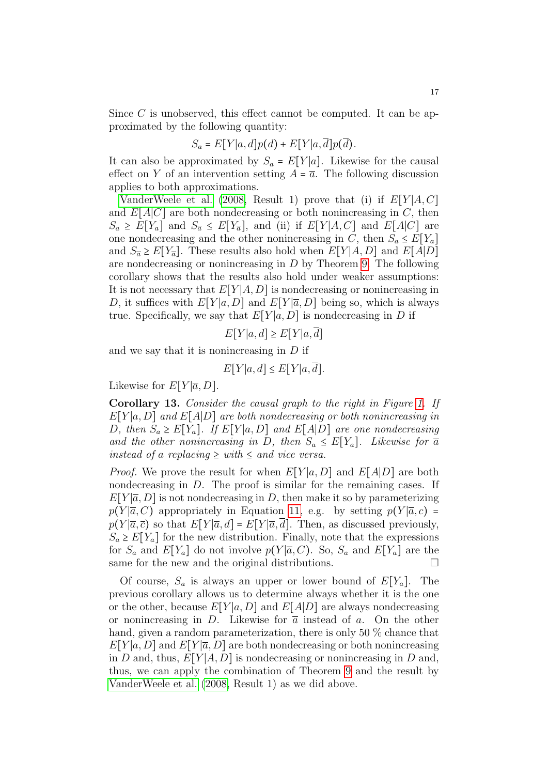Since C is unobserved, this effect cannot be computed. It can be approximated by the following quantity:

$$
S_a = E[Y|a,d]p(d) + E[Y|a,\overline{d}]p(\overline{d}).
$$

It can also be approximated by  $S_a = E[Y|a]$ . Likewise for the causal effect on Y of an intervention setting  $A = \overline{a}$ . The following discussion applies to both approximations.

[VanderWeele et al.](#page-18-3) [\(2008,](#page-18-3) Result 1) prove that (i) if  $E[Y|A,C]$ and  $E[A|C]$  are both nondecreasing or both nonincreasing in C, then  $S_a \geq E[Y_a]$  and  $S_{\overline{a}} \leq E[Y_{\overline{a}}]$ , and (ii) if  $E[Y|A, C]$  and  $E[A|C]$  are one nondecreasing and the other nonincreasing in C, then  $S_a \leq E[Y_a]$ and  $S_{\overline{a}} \geq E[Y_{\overline{a}}]$ . These results also hold when  $E[Y|A, D]$  and  $E[A|D]$ are nondecreasing or nonincreasing in  $D$  by Theorem [9.](#page-13-0) The following corollary shows that the results also hold under weaker assumptions: It is not necessary that  $E[Y|A, D]$  is nondecreasing or nonincreasing in D, it suffices with  $E[Y|a, D]$  and  $E[Y|\overline{a}, D]$  being so, which is always true. Specifically, we say that  $E[Y|a, D]$  is nondecreasing in D if

$$
E[Y|a,d] \ge E[Y|a,\overline{d}]
$$

and we say that it is nonincreasing in  $D$  if

 $E[Y|a, d] \leq E[Y|a, \overline{d}].$ 

Likewise for  $E[Y|\overline{a}, D]$ .

Corollary 13. Consider the causal graph to the right in Figure [1.](#page-1-0) If  $E[Y|a, D]$  and  $E[A|D]$  are both nondecreasing or both nonincreasing in D, then  $S_a \geq E[Y_a]$ . If  $E[Y|a, D]$  and  $E[A|D]$  are one nondecreasing and the other nonincreasing in D, then  $S_a \leq E[Y_a]$ . Likewise for  $\overline{a}$ instead of a replacing  $\geq$  with  $\leq$  and vice versa.

*Proof.* We prove the result for when  $E[Y|a, D]$  and  $E[A|D]$  are both nondecreasing in D. The proof is similar for the remaining cases. If  $E[Y|\overline{a}, D]$  is not nondecreasing in D, then make it so by parameterizing  $p(Y|\overline{a}, C)$  appropriately in Equation [11,](#page-12-1) e.g. by setting  $p(Y|\overline{a}, c)$  =  $p(Y|\overline{a}, \overline{c})$  so that  $E[Y|\overline{a}, d] = E[Y|\overline{a}, \overline{d}]$ . Then, as discussed previously,  $S_a \geq E[Y_a]$  for the new distribution. Finally, note that the expressions for  $S_a$  and  $E[Y_a]$  do not involve  $p(Y|\overline{a}, C)$ . So,  $S_a$  and  $E[Y_a]$  are the same for the new and the original distributions.  $\Box$ 

Of course,  $S_a$  is always an upper or lower bound of  $E[Y_a]$ . The previous corollary allows us to determine always whether it is the one or the other, because  $E[Y|a, D]$  and  $E[A|D]$  are always nondecreasing or nonincreasing in D. Likewise for  $\bar{a}$  instead of a. On the other hand, given a random parameterization, there is only 50 % chance that  $E[Y]a, D]$  and  $E[Y|\overline{a}, D]$  are both nondecreasing or both nonincreasing in D and, thus,  $E[Y|A, D]$  is nondecreasing or nonincreasing in D and, thus, we can apply the combination of Theorem [9](#page-13-0) and the result by [VanderWeele et al.](#page-18-3) [\(2008,](#page-18-3) Result 1) as we did above.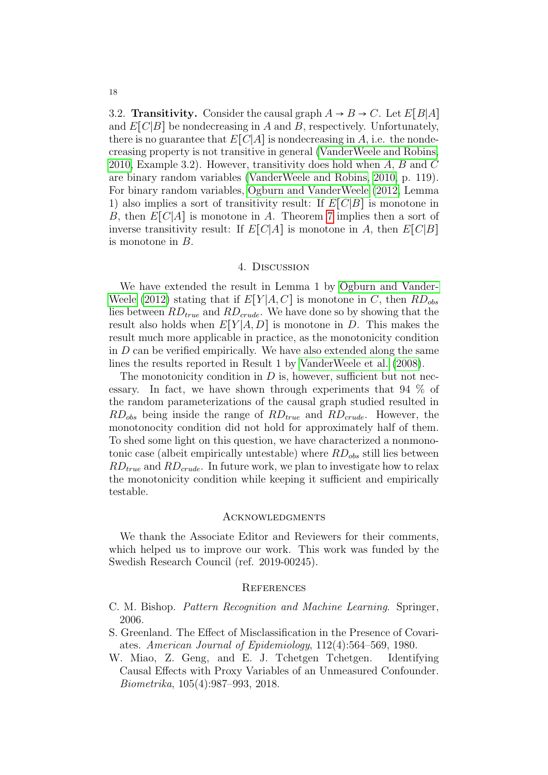3.2. **Transitivity.** Consider the causal graph  $A \rightarrow B \rightarrow C$ . Let  $E[B|A]$ and  $E[C|B]$  be nondecreasing in A and B, respectively. Unfortunately, there is no guarantee that  $E[C|A]$  is nondecreasing in A, i.e. the nondecreasing property is not transitive in general [\(VanderWeele and Robins,](#page-18-4) [2010,](#page-18-4) Example 3.2). However, transitivity does hold when A, B and C are binary random variables [\(VanderWeele and Robins, 2010,](#page-18-4) p. 119). For binary random variables, [Ogburn and VanderWeele](#page-18-0) [\(2012,](#page-18-0) Lemma 1) also implies a sort of transitivity result: If  $E[C|B]$  is monotone in B, then  $E[C|A]$  is monotone in A. Theorem [7](#page-12-2) implies then a sort of inverse transitivity result: If  $E[C|A]$  is monotone in A, then  $E[C|B]$ is monotone in B.

# 4. Discussion

<span id="page-17-2"></span>We have extended the result in Lemma 1 by [Ogburn and Vander-](#page-18-0)[Weele](#page-18-0) [\(2012\)](#page-18-0) stating that if  $E[Y|A, C]$  is monotone in C, then  $RD_{obs}$ lies between  $RD_{true}$  and  $RD_{crude}$ . We have done so by showing that the result also holds when  $E[Y|A, D]$  is monotone in D. This makes the result much more applicable in practice, as the monotonicity condition in  $D$  can be verified empirically. We have also extended along the same lines the results reported in Result 1 by [VanderWeele et al.](#page-18-3) [\(2008\)](#page-18-3).

The monotonicity condition in  $D$  is, however, sufficient but not necessary. In fact, we have shown through experiments that 94 % of the random parameterizations of the causal graph studied resulted in  $RD_{obs}$  being inside the range of  $RD_{true}$  and  $RD_{crude}$ . However, the monotonocity condition did not hold for approximately half of them. To shed some light on this question, we have characterized a nonmonotonic case (albeit empirically untestable) where  $RD_{obs}$  still lies between  $RD_{true}$  and  $RD_{crude}$ . In future work, we plan to investigate how to relax the monotonicity condition while keeping it sufficient and empirically testable.

### **ACKNOWLEDGMENTS**

We thank the Associate Editor and Reviewers for their comments, which helped us to improve our work. This work was funded by the Swedish Research Council (ref. 2019-00245).

### **REFERENCES**

- <span id="page-17-3"></span>C. M. Bishop. Pattern Recognition and Machine Learning. Springer, 2006.
- <span id="page-17-0"></span>S. Greenland. The Effect of Misclassification in the Presence of Covariates. American Journal of Epidemiology, 112(4):564–569, 1980.
- <span id="page-17-1"></span>W. Miao, Z. Geng, and E. J. Tchetgen Tchetgen. Identifying Causal Effects with Proxy Variables of an Unmeasured Confounder. Biometrika, 105(4):987–993, 2018.